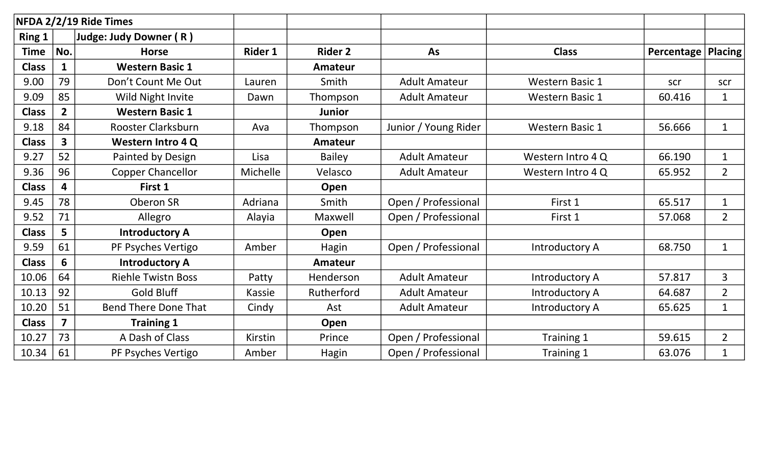|               |                | NFDA 2/2/19 Ride Times      |                |                |                      |                        |                      |                |
|---------------|----------------|-----------------------------|----------------|----------------|----------------------|------------------------|----------------------|----------------|
| <b>Ring 1</b> |                | Judge: Judy Downer (R)      |                |                |                      |                        |                      |                |
| <b>Time</b>   | No.            | <b>Horse</b>                | <b>Rider 1</b> | <b>Rider 2</b> | <b>As</b>            | <b>Class</b>           | Percentage   Placing |                |
| <b>Class</b>  |                | <b>Western Basic 1</b>      |                | <b>Amateur</b> |                      |                        |                      |                |
| 9.00          | 79             | Don't Count Me Out          | Lauren         | Smith          | <b>Adult Amateur</b> | <b>Western Basic 1</b> | scr                  | scr            |
| 9.09          | 85             | Wild Night Invite           | Dawn           | Thompson       | <b>Adult Amateur</b> | <b>Western Basic 1</b> | 60.416               | $\mathbf{1}$   |
| <b>Class</b>  | $2^{\circ}$    | <b>Western Basic 1</b>      |                | <b>Junior</b>  |                      |                        |                      |                |
| 9.18          | 84             | Rooster Clarksburn          | Ava            | Thompson       | Junior / Young Rider | <b>Western Basic 1</b> | 56.666               | $\mathbf{1}$   |
| <b>Class</b>  | 3 <sup>1</sup> | <b>Western Intro 4 Q</b>    |                | <b>Amateur</b> |                      |                        |                      |                |
| 9.27          | 52             | Painted by Design           | Lisa           | <b>Bailey</b>  | <b>Adult Amateur</b> | Western Intro 4 Q      | 66.190               | $\mathbf{1}$   |
| 9.36          | 96             | <b>Copper Chancellor</b>    | Michelle       | Velasco        | <b>Adult Amateur</b> | Western Intro 4 Q      | 65.952               | $\overline{2}$ |
| <b>Class</b>  | 4              | First 1                     |                | Open           |                      |                        |                      |                |
| 9.45          | 78             | <b>Oberon SR</b>            | Adriana        | Smith          | Open / Professional  | First 1                | 65.517               | $\mathbf{1}$   |
| 9.52          | 71             | Allegro                     | Alayia         | Maxwell        | Open / Professional  | First 1                | 57.068               | $\overline{2}$ |
| <b>Class</b>  | 5              | <b>Introductory A</b>       |                | Open           |                      |                        |                      |                |
| 9.59          | 61             | PF Psyches Vertigo          | Amber          | Hagin          | Open / Professional  | Introductory A         | 68.750               | $\mathbf{1}$   |
| <b>Class</b>  | 6              | <b>Introductory A</b>       |                | Amateur        |                      |                        |                      |                |
| 10.06         | 64             | <b>Riehle Twistn Boss</b>   | Patty          | Henderson      | <b>Adult Amateur</b> | Introductory A         | 57.817               | 3              |
| 10.13         | 92             | <b>Gold Bluff</b>           | Kassie         | Rutherford     | <b>Adult Amateur</b> | Introductory A         | 64.687               | $\overline{2}$ |
| 10.20         | 51             | <b>Bend There Done That</b> | Cindy          | Ast            | <b>Adult Amateur</b> | Introductory A         | 65.625               | $\mathbf{1}$   |
| <b>Class</b>  | $\overline{7}$ | <b>Training 1</b>           |                | Open           |                      |                        |                      |                |
| 10.27         | 73             | A Dash of Class             | Kirstin        | Prince         | Open / Professional  | Training 1             | 59.615               | $\overline{2}$ |
| 10.34         | 61             | PF Psyches Vertigo          | Amber          | Hagin          | Open / Professional  | Training 1             | 63.076               | $\mathbf{1}$   |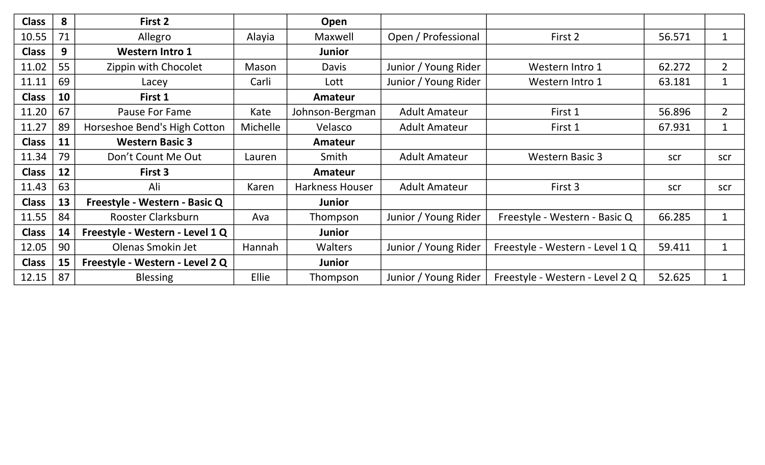| <b>Class</b> | 8  | First 2                         |                 | Open                   |                      |                                 |        |                |
|--------------|----|---------------------------------|-----------------|------------------------|----------------------|---------------------------------|--------|----------------|
| 10.55        | 71 | Allegro                         | Alayia          | Maxwell                | Open / Professional  | First 2                         | 56.571 | $\mathbf 1$    |
| <b>Class</b> | 9  | <b>Western Intro 1</b>          |                 | <b>Junior</b>          |                      |                                 |        |                |
| 11.02        | 55 | Zippin with Chocolet            | Mason           | <b>Davis</b>           | Junior / Young Rider | Western Intro 1                 | 62.272 | $\overline{2}$ |
| 11.11        | 69 | Lacey                           | Carli           | Lott                   | Junior / Young Rider | Western Intro 1                 | 63.181 | $\mathbf{1}$   |
| <b>Class</b> | 10 | First 1                         |                 | Amateur                |                      |                                 |        |                |
| 11.20        | 67 | <b>Pause For Fame</b>           | Kate            | Johnson-Bergman        | <b>Adult Amateur</b> | First 1                         | 56.896 | $\overline{2}$ |
| 11.27        | 89 | Horseshoe Bend's High Cotton    | <b>Michelle</b> | Velasco                | <b>Adult Amateur</b> | First 1                         | 67.931 | $\mathbf{1}$   |
| <b>Class</b> | 11 | <b>Western Basic 3</b>          |                 | <b>Amateur</b>         |                      |                                 |        |                |
| 11.34        | 79 | Don't Count Me Out              | Lauren          | Smith                  | <b>Adult Amateur</b> | <b>Western Basic 3</b>          | scr    | scr            |
| <b>Class</b> | 12 | First 3                         |                 | Amateur                |                      |                                 |        |                |
| 11.43        | 63 | Ali                             | Karen           | <b>Harkness Houser</b> | <b>Adult Amateur</b> | First 3                         | scr    | scr            |
| <b>Class</b> | 13 | Freestyle - Western - Basic Q   |                 | Junior                 |                      |                                 |        |                |
| 11.55        | 84 | <b>Rooster Clarksburn</b>       | Ava             | Thompson               | Junior / Young Rider | Freestyle - Western - Basic Q   | 66.285 | $\mathbf{1}$   |
| <b>Class</b> | 14 | Freestyle - Western - Level 1 Q |                 | <b>Junior</b>          |                      |                                 |        |                |
| 12.05        | 90 | Olenas Smokin Jet               | Hannah          | <b>Walters</b>         | Junior / Young Rider | Freestyle - Western - Level 1 Q | 59.411 | $\mathbf{1}$   |
| <b>Class</b> | 15 | Freestyle - Western - Level 2 Q |                 | Junior                 |                      |                                 |        |                |
| 12.15        | 87 | <b>Blessing</b>                 | Ellie           | Thompson               | Junior / Young Rider | Freestyle - Western - Level 2 Q | 52.625 | $\mathbf{1}$   |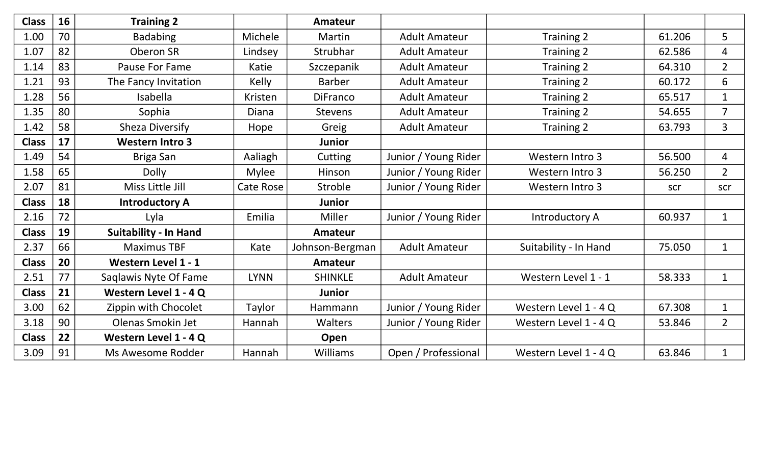| <b>Class</b> | 16 | <b>Training 2</b>            |                  | Amateur         |                      |                       |        |                |
|--------------|----|------------------------------|------------------|-----------------|----------------------|-----------------------|--------|----------------|
| 1.00         | 70 | <b>Badabing</b>              | Michele          | Martin          | <b>Adult Amateur</b> | Training 2            | 61.206 | 5              |
| 1.07         | 82 | Oberon SR                    | Lindsey          | Strubhar        | <b>Adult Amateur</b> | Training 2            | 62.586 | $\overline{4}$ |
| 1.14         | 83 | Pause For Fame               | Katie            | Szczepanik      | <b>Adult Amateur</b> | Training 2            | 64.310 | $\overline{2}$ |
| 1.21         | 93 | The Fancy Invitation         | Kelly            | <b>Barber</b>   | <b>Adult Amateur</b> | Training 2            | 60.172 | 6              |
| 1.28         | 56 | <b>Isabella</b>              | Kristen          | <b>DiFranco</b> | <b>Adult Amateur</b> | Training 2            | 65.517 | $\mathbf{1}$   |
| 1.35         | 80 | Sophia                       | <b>Diana</b>     | <b>Stevens</b>  | <b>Adult Amateur</b> | Training 2            | 54.655 | $\overline{7}$ |
| 1.42         | 58 | Sheza Diversify              | Hope             | Greig           | <b>Adult Amateur</b> | Training 2            | 63.793 | $\overline{3}$ |
| <b>Class</b> | 17 | <b>Western Intro 3</b>       |                  | <b>Junior</b>   |                      |                       |        |                |
| 1.49         | 54 | Briga San                    | Aaliagh          | Cutting         | Junior / Young Rider | Western Intro 3       | 56.500 | $\overline{4}$ |
| 1.58         | 65 | <b>Dolly</b>                 | <b>Mylee</b>     | Hinson          | Junior / Young Rider | Western Intro 3       | 56.250 | $\overline{2}$ |
| 2.07         | 81 | Miss Little Jill             | <b>Cate Rose</b> | Stroble         | Junior / Young Rider | Western Intro 3       | scr    | scr            |
| <b>Class</b> | 18 | <b>Introductory A</b>        |                  | <b>Junior</b>   |                      |                       |        |                |
| 2.16         | 72 | Lyla                         | Emilia           | Miller          | Junior / Young Rider | Introductory A        | 60.937 | $\mathbf{1}$   |
| <b>Class</b> | 19 | <b>Suitability - In Hand</b> |                  | Amateur         |                      |                       |        |                |
| 2.37         | 66 | <b>Maximus TBF</b>           | Kate             | Johnson-Bergman | <b>Adult Amateur</b> | Suitability - In Hand | 75.050 | $\mathbf{1}$   |
| <b>Class</b> | 20 | Western Level 1 - 1          |                  | Amateur         |                      |                       |        |                |
| 2.51         | 77 | Saqlawis Nyte Of Fame        | <b>LYNN</b>      | <b>SHINKLE</b>  | <b>Adult Amateur</b> | Western Level 1 - 1   | 58.333 | $\mathbf{1}$   |
| <b>Class</b> | 21 | Western Level 1 - 4 Q        |                  | <b>Junior</b>   |                      |                       |        |                |
| 3.00         | 62 | Zippin with Chocolet         | Taylor           | Hammann         | Junior / Young Rider | Western Level 1 - 4 Q | 67.308 | $\mathbf{1}$   |
| 3.18         | 90 | Olenas Smokin Jet            | Hannah           | Walters         | Junior / Young Rider | Western Level 1 - 4 Q | 53.846 | $\overline{2}$ |
| <b>Class</b> | 22 | Western Level 1 - 4 Q        |                  | Open            |                      |                       |        |                |
| 3.09         | 91 | Ms Awesome Rodder            | Hannah           | <b>Williams</b> | Open / Professional  | Western Level 1 - 4 Q | 63.846 | $\mathbf{1}$   |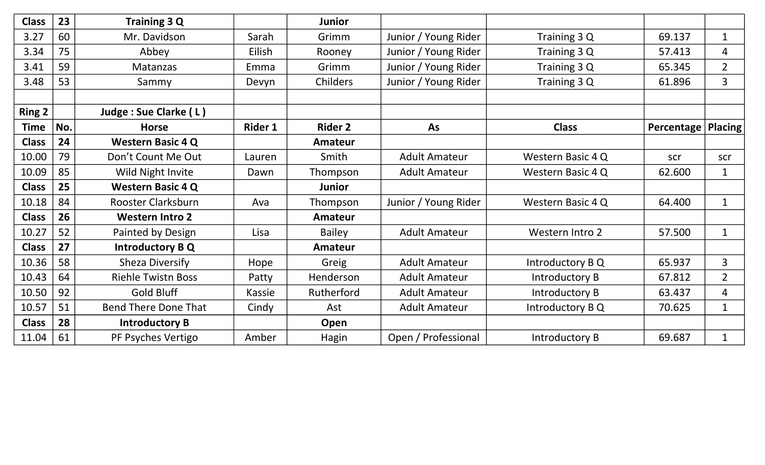| <b>Class</b>  | 23  | Training 3 Q                |                | <b>Junior</b>   |                      |                       |                             |                |
|---------------|-----|-----------------------------|----------------|-----------------|----------------------|-----------------------|-----------------------------|----------------|
| 3.27          | 60  | Mr. Davidson                | Sarah          | Grimm           | Junior / Young Rider | Training 3 Q          | 69.137                      | $\mathbf{1}$   |
| 3.34          | 75  | Abbey                       | Eilish         | Rooney          | Junior / Young Rider | Training 3 Q          | 57.413                      | $\overline{4}$ |
| 3.41          | 59  | Matanzas                    | Emma           | Grimm           | Junior / Young Rider | Training 3 Q          | 65.345                      | $2^{\circ}$    |
| 3.48          | 53  | Sammy                       | Devyn          | <b>Childers</b> | Junior / Young Rider | Training 3 Q          | 61.896                      | 3              |
|               |     |                             |                |                 |                      |                       |                             |                |
| <b>Ring 2</b> |     | Judge : Sue Clarke (L)      |                |                 |                      |                       |                             |                |
| <b>Time</b>   | No. | <b>Horse</b>                | <b>Rider 1</b> | <b>Rider 2</b>  | As                   | <b>Class</b>          | <b>Percentage   Placing</b> |                |
| <b>Class</b>  | 24  | <b>Western Basic 4 Q</b>    |                | <b>Amateur</b>  |                      |                       |                             |                |
| 10.00         | 79  | Don't Count Me Out          | Lauren         | Smith           | <b>Adult Amateur</b> | Western Basic 4 Q     | scr                         | scr            |
| 10.09         | 85  | Wild Night Invite           | Dawn           | Thompson        | <b>Adult Amateur</b> | Western Basic 4 Q     | 62.600                      | $\mathbf{1}$   |
| <b>Class</b>  | 25  | <b>Western Basic 4 Q</b>    |                | <b>Junior</b>   |                      |                       |                             |                |
| 10.18         | 84  | Rooster Clarksburn          | Ava            | Thompson        | Junior / Young Rider | Western Basic 4 Q     | 64.400                      | $\mathbf{1}$   |
| <b>Class</b>  | 26  | <b>Western Intro 2</b>      |                | Amateur         |                      |                       |                             |                |
| 10.27         | 52  | Painted by Design           | Lisa           | <b>Bailey</b>   | <b>Adult Amateur</b> | Western Intro 2       | 57.500                      | $\mathbf{1}$   |
| <b>Class</b>  | 27  | Introductory B Q            |                | Amateur         |                      |                       |                             |                |
| 10.36         | 58  | <b>Sheza Diversify</b>      | Hope           | Greig           | <b>Adult Amateur</b> | Introductory B Q      | 65.937                      | $\overline{3}$ |
| 10.43         | 64  | <b>Riehle Twistn Boss</b>   | Patty          | Henderson       | <b>Adult Amateur</b> | Introductory B        | 67.812                      | $\overline{2}$ |
| 10.50         | 92  | Gold Bluff                  | Kassie         | Rutherford      | <b>Adult Amateur</b> | Introductory B        | 63.437                      | 4              |
| 10.57         | 51  | <b>Bend There Done That</b> | Cindy          | Ast             | <b>Adult Amateur</b> | Introductory B Q      | 70.625                      | $\mathbf{1}$   |
| <b>Class</b>  | 28  | <b>Introductory B</b>       |                | Open            |                      |                       |                             |                |
| 11.04         | 61  | PF Psyches Vertigo          | Amber          | Hagin           | Open / Professional  | <b>Introductory B</b> | 69.687                      | $\mathbf 1$    |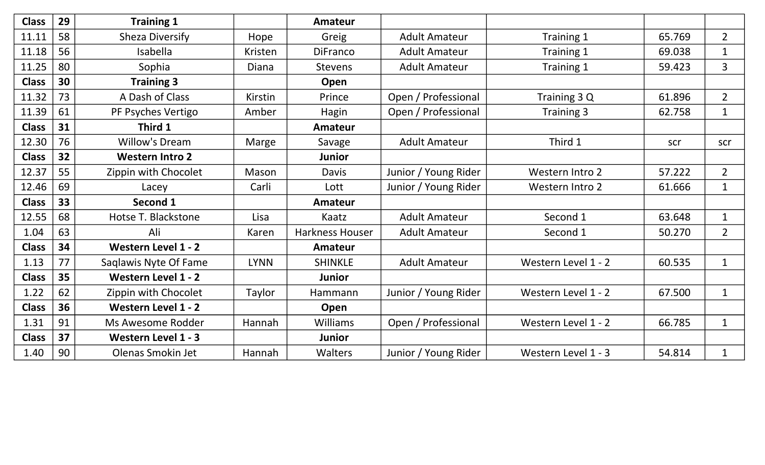| <b>Class</b> | 29 | <b>Training 1</b>          |                | Amateur                |                      |                     |        |                |
|--------------|----|----------------------------|----------------|------------------------|----------------------|---------------------|--------|----------------|
| 11.11        | 58 | <b>Sheza Diversify</b>     | Hope           | Greig                  | <b>Adult Amateur</b> | Training 1          | 65.769 | $\overline{2}$ |
| 11.18        | 56 | Isabella                   | <b>Kristen</b> | <b>DiFranco</b>        | <b>Adult Amateur</b> | Training 1          | 69.038 | $\mathbf{1}$   |
| 11.25        | 80 | Sophia                     | Diana          | <b>Stevens</b>         | <b>Adult Amateur</b> | Training 1          | 59.423 | $\overline{3}$ |
| <b>Class</b> | 30 | <b>Training 3</b>          |                | Open                   |                      |                     |        |                |
| 11.32        | 73 | A Dash of Class            | <b>Kirstin</b> | Prince                 | Open / Professional  | Training 3 Q        | 61.896 | $\overline{2}$ |
| 11.39        | 61 | PF Psyches Vertigo         | Amber          | Hagin                  | Open / Professional  | Training 3          | 62.758 | $\mathbf{1}$   |
| <b>Class</b> | 31 | Third 1                    |                | Amateur                |                      |                     |        |                |
| 12.30        | 76 | <b>Willow's Dream</b>      | Marge          | Savage                 | <b>Adult Amateur</b> | Third 1             | scr    | scr            |
| <b>Class</b> | 32 | <b>Western Intro 2</b>     |                | <b>Junior</b>          |                      |                     |        |                |
| 12.37        | 55 | Zippin with Chocolet       | Mason          | <b>Davis</b>           | Junior / Young Rider | Western Intro 2     | 57.222 | $\overline{2}$ |
| 12.46        | 69 | Lacey                      | Carli          | Lott                   | Junior / Young Rider | Western Intro 2     | 61.666 | $\mathbf{1}$   |
| <b>Class</b> | 33 | Second 1                   |                | <b>Amateur</b>         |                      |                     |        |                |
| 12.55        | 68 | Hotse T. Blackstone        | Lisa           | Kaatz                  | <b>Adult Amateur</b> | Second 1            | 63.648 | $\mathbf{1}$   |
| 1.04         | 63 | Ali                        | Karen          | <b>Harkness Houser</b> | <b>Adult Amateur</b> | Second 1            | 50.270 | $2^{\circ}$    |
| <b>Class</b> | 34 | Western Level 1 - 2        |                | <b>Amateur</b>         |                      |                     |        |                |
| 1.13         | 77 | Saqlawis Nyte Of Fame      | <b>LYNN</b>    | <b>SHINKLE</b>         | <b>Adult Amateur</b> | Western Level 1 - 2 | 60.535 | $\mathbf{1}$   |
| <b>Class</b> | 35 | <b>Western Level 1 - 2</b> |                | <b>Junior</b>          |                      |                     |        |                |
| 1.22         | 62 | Zippin with Chocolet       | Taylor         | Hammann                | Junior / Young Rider | Western Level 1 - 2 | 67.500 | $\mathbf{1}$   |
| <b>Class</b> | 36 | Western Level 1 - 2        |                | Open                   |                      |                     |        |                |
| 1.31         | 91 | Ms Awesome Rodder          | Hannah         | Williams               | Open / Professional  | Western Level 1 - 2 | 66.785 | $\mathbf{1}$   |
| <b>Class</b> | 37 | Western Level 1 - 3        |                | <b>Junior</b>          |                      |                     |        |                |
| 1.40         | 90 | Olenas Smokin Jet          | Hannah         | Walters                | Junior / Young Rider | Western Level 1 - 3 | 54.814 | $\mathbf{1}$   |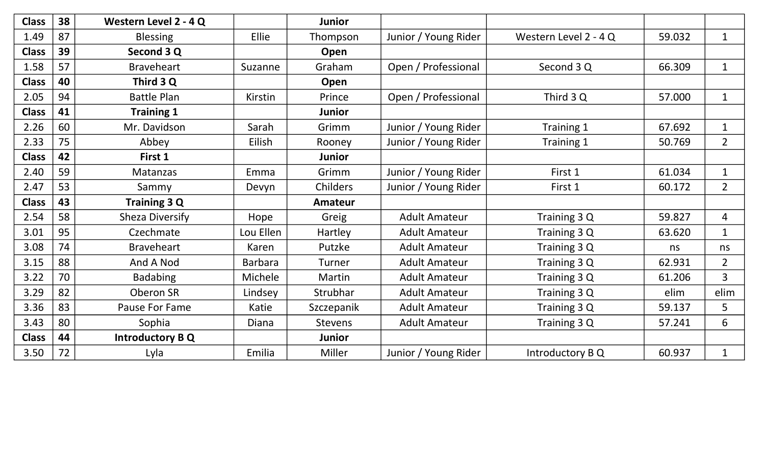| <b>Class</b> | 38 | Western Level 2 - 4 Q  |                | <b>Junior</b>  |                      |                       |        |                |
|--------------|----|------------------------|----------------|----------------|----------------------|-----------------------|--------|----------------|
| 1.49         | 87 | <b>Blessing</b>        | Ellie          | Thompson       | Junior / Young Rider | Western Level 2 - 4 Q | 59.032 | $\mathbf{1}$   |
| <b>Class</b> | 39 | Second 3 Q             |                | Open           |                      |                       |        |                |
| 1.58         | 57 | <b>Braveheart</b>      | Suzanne        | Graham         | Open / Professional  | Second 3 Q            | 66.309 | $\mathbf{1}$   |
| <b>Class</b> | 40 | Third 3 Q              |                | Open           |                      |                       |        |                |
| 2.05         | 94 | <b>Battle Plan</b>     | Kirstin        | Prince         | Open / Professional  | Third 3 Q             | 57.000 | $\mathbf{1}$   |
| <b>Class</b> | 41 | <b>Training 1</b>      |                | <b>Junior</b>  |                      |                       |        |                |
| 2.26         | 60 | Mr. Davidson           | Sarah          | Grimm          | Junior / Young Rider | Training 1            | 67.692 | $\mathbf{1}$   |
| 2.33         | 75 | Abbey                  | Eilish         | Rooney         | Junior / Young Rider | Training 1            | 50.769 | $\overline{2}$ |
| <b>Class</b> | 42 | First 1                |                | <b>Junior</b>  |                      |                       |        |                |
| 2.40         | 59 | Matanzas               | Emma           | Grimm          | Junior / Young Rider | First 1               | 61.034 | $\mathbf{1}$   |
| 2.47         | 53 | Sammy                  | Devyn          | Childers       | Junior / Young Rider | First 1               | 60.172 | $\overline{2}$ |
| <b>Class</b> | 43 | <b>Training 3 Q</b>    |                | <b>Amateur</b> |                      |                       |        |                |
| 2.54         | 58 | <b>Sheza Diversify</b> | Hope           | Greig          | <b>Adult Amateur</b> | Training 3 Q          | 59.827 | $\overline{4}$ |
| 3.01         | 95 | Czechmate              | Lou Ellen      | Hartley        | <b>Adult Amateur</b> | Training 3 Q          | 63.620 | $\mathbf{1}$   |
| 3.08         | 74 | <b>Braveheart</b>      | Karen          | Putzke         | <b>Adult Amateur</b> | Training 3 Q          | ns     | ns             |
| 3.15         | 88 | And A Nod              | <b>Barbara</b> | Turner         | <b>Adult Amateur</b> | Training 3 Q          | 62.931 | $\overline{2}$ |
| 3.22         | 70 | <b>Badabing</b>        | Michele        | Martin         | <b>Adult Amateur</b> | Training 3 Q          | 61.206 | $\overline{3}$ |
| 3.29         | 82 | Oberon SR              | Lindsey        | Strubhar       | <b>Adult Amateur</b> | Training 3 Q          | elim   | elim           |
| 3.36         | 83 | Pause For Fame         | Katie          | Szczepanik     | <b>Adult Amateur</b> | Training 3 Q          | 59.137 | 5              |
| 3.43         | 80 | Sophia                 | <b>Diana</b>   | <b>Stevens</b> | <b>Adult Amateur</b> | Training 3 Q          | 57.241 | 6              |
| <b>Class</b> | 44 | <b>Introductory BQ</b> |                | <b>Junior</b>  |                      |                       |        |                |
| 3.50         | 72 | Lyla                   | Emilia         | Miller         | Junior / Young Rider | Introductory B Q      | 60.937 | $\mathbf{1}$   |